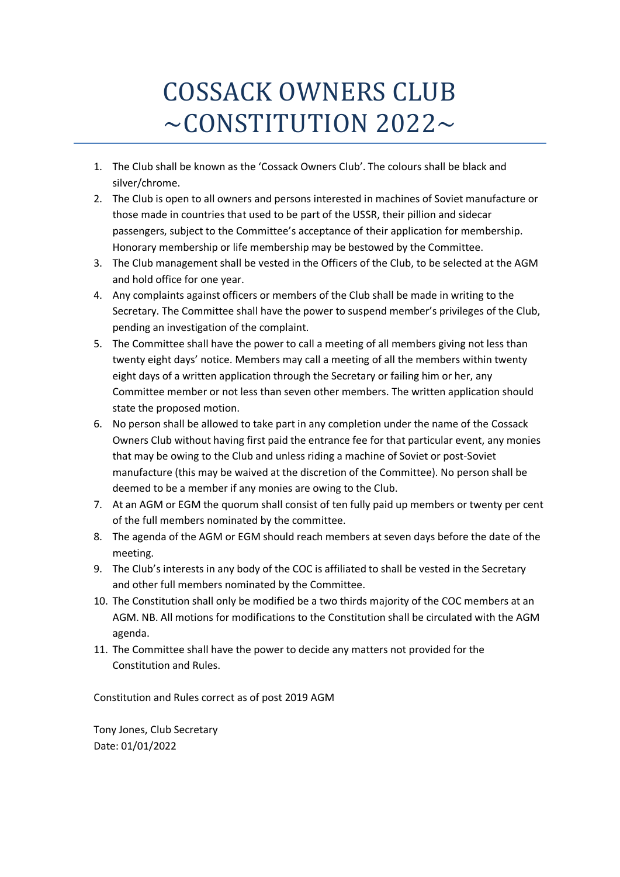# COSSACK OWNERS CLUB  $\sim$ CONSTITUTION 2022 $\sim$

- 1. The Club shall be known as the 'Cossack Owners Club'. The colours shall be black and silver/chrome.
- 2. The Club is open to all owners and persons interested in machines of Soviet manufacture or those made in countries that used to be part of the USSR, their pillion and sidecar passengers, subject to the Committee's acceptance of their application for membership. Honorary membership or life membership may be bestowed by the Committee.
- 3. The Club management shall be vested in the Officers of the Club, to be selected at the AGM and hold office for one year.
- 4. Any complaints against officers or members of the Club shall be made in writing to the Secretary. The Committee shall have the power to suspend member's privileges of the Club, pending an investigation of the complaint.
- 5. The Committee shall have the power to call a meeting of all members giving not less than twenty eight days' notice. Members may call a meeting of all the members within twenty eight days of a written application through the Secretary or failing him or her, any Committee member or not less than seven other members. The written application should state the proposed motion.
- 6. No person shall be allowed to take part in any completion under the name of the Cossack Owners Club without having first paid the entrance fee for that particular event, any monies that may be owing to the Club and unless riding a machine of Soviet or post-Soviet manufacture (this may be waived at the discretion of the Committee). No person shall be deemed to be a member if any monies are owing to the Club.
- 7. At an AGM or EGM the quorum shall consist of ten fully paid up members or twenty per cent of the full members nominated by the committee.
- 8. The agenda of the AGM or EGM should reach members at seven days before the date of the meeting.
- 9. The Club's interests in any body of the COC is affiliated to shall be vested in the Secretary and other full members nominated by the Committee.
- 10. The Constitution shall only be modified be a two thirds majority of the COC members at an AGM. NB. All motions for modifications to the Constitution shall be circulated with the AGM agenda.
- 11. The Committee shall have the power to decide any matters not provided for the Constitution and Rules.

Constitution and Rules correct as of post 2019 AGM

Tony Jones, Club Secretary Date: 01/01/2022